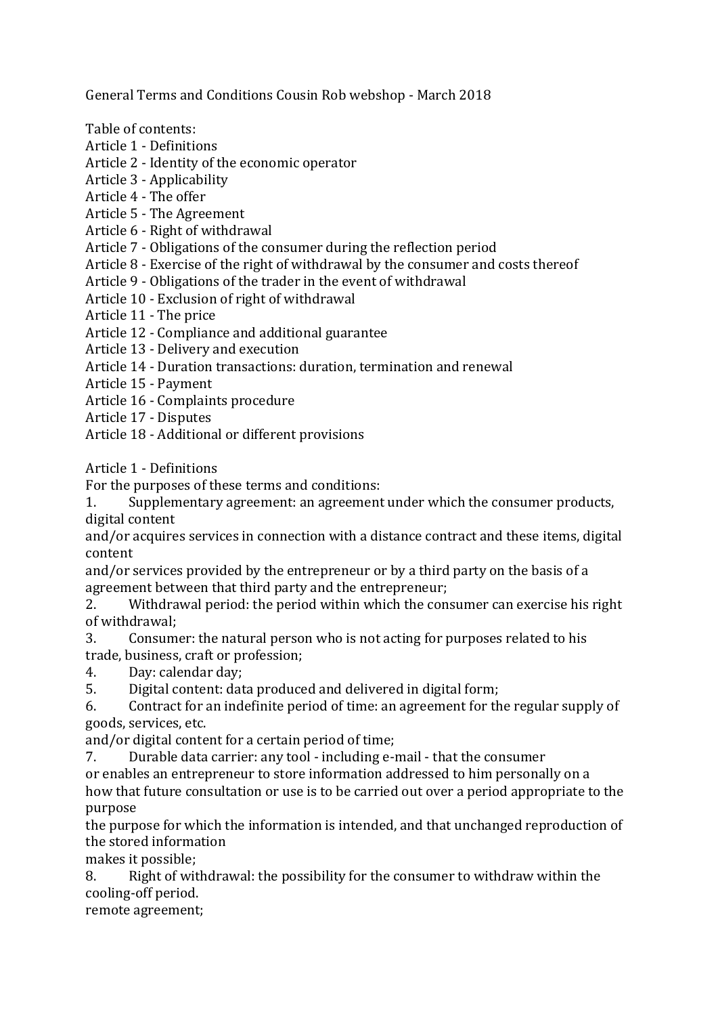General Terms and Conditions Cousin Rob webshop - March 2018

Table of contents:

- Article 1 - Definitions
- Article 2 Identity of the economic operator
- Article 3 - Applicability
- Article 4 The offer
- Article 5 The Agreement
- Article 6 Right of withdrawal
- Article 7 Obligations of the consumer during the reflection period
- Article  $8$  Exercise of the right of withdrawal by the consumer and costs thereof
- Article 9 Obligations of the trader in the event of withdrawal
- Article 10 Exclusion of right of withdrawal
- Article 11 The price
- Article 12 Compliance and additional guarantee
- Article 13 Delivery and execution
- Article 14 Duration transactions: duration, termination and renewal
- Article 15 - Payment
- Article 16 Complaints procedure
- Article 17 - Disputes
- Article 18 Additional or different provisions

Article 1 - Definitions

For the purposes of these terms and conditions:

1. Supplementary agreement: an agreement under which the consumer products, digital content

and/or acquires services in connection with a distance contract and these items, digital content

and/or services provided by the entrepreneur or by a third party on the basis of a agreement between that third party and the entrepreneur;

2. Withdrawal period: the period within which the consumer can exercise his right of withdrawal:

- 3. Consumer: the natural person who is not acting for purposes related to his trade, business, craft or profession;
- 4. Day: calendar day;
- 5. Digital content: data produced and delivered in digital form;

6. Contract for an indefinite period of time: an agreement for the regular supply of goods, services, etc.

and/or digital content for a certain period of time;

7. Durable data carrier: any tool - including e-mail - that the consumer or enables an entrepreneur to store information addressed to him personally on a how that future consultation or use is to be carried out over a period appropriate to the purpose

the purpose for which the information is intended, and that unchanged reproduction of the stored information

makes it possible;

8. Right of withdrawal: the possibility for the consumer to withdraw within the cooling-off period.

remote agreement;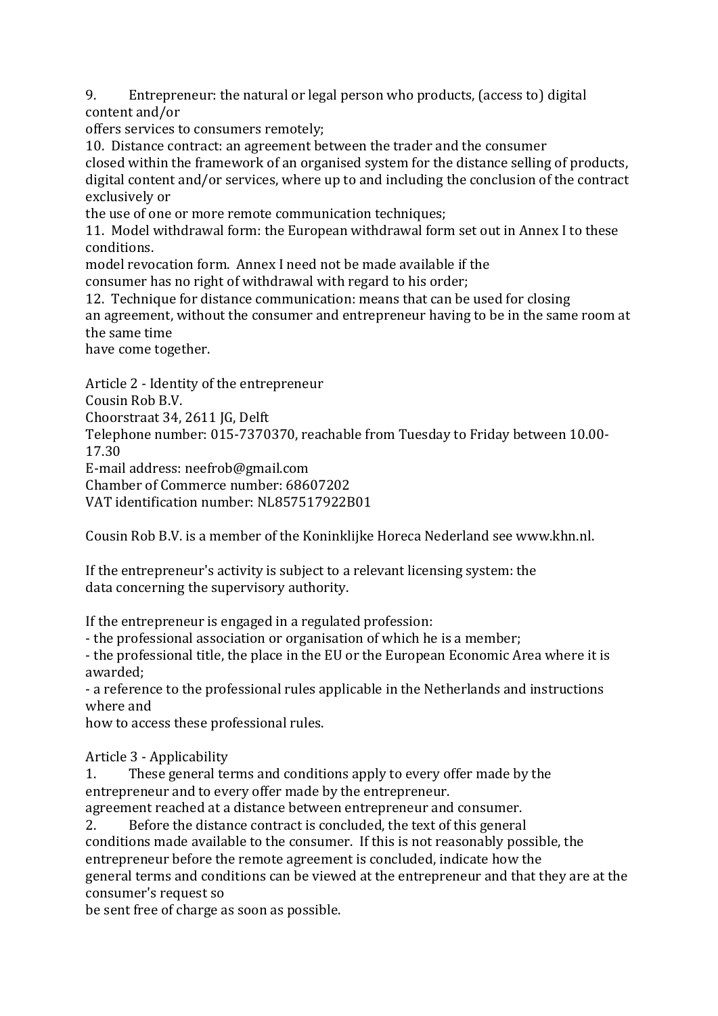9. Entrepreneur: the natural or legal person who products, (access to) digital content and/or

offers services to consumers remotely;

10. Distance contract: an agreement between the trader and the consumer closed within the framework of an organised system for the distance selling of products,

digital content and/or services, where up to and including the conclusion of the contract exclusively or

the use of one or more remote communication techniques;

11. Model withdrawal form: the European withdrawal form set out in Annex I to these conditions.

model revocation form. Annex I need not be made available if the

consumer has no right of withdrawal with regard to his order;

12. Technique for distance communication: means that can be used for closing an agreement, without the consumer and entrepreneur having to be in the same room at the same time

have come together.

Article 2 - Identity of the entrepreneur

Cousin Rob B.V.

Choorstraat 34, 2611 JG, Delft

Telephone number: 015-7370370, reachable from Tuesday to Friday between 10.00-17.30 

E-mail address: neefrob@gmail.com

Chamber of Commerce number: 68607202

VAT identification number: NL857517922B01

Cousin Rob B.V. is a member of the Koninklijke Horeca Nederland see www.khn.nl.

If the entrepreneur's activity is subject to a relevant licensing system: the data concerning the supervisory authority.

If the entrepreneur is engaged in a regulated profession:

- the professional association or organisation of which he is a member;

- the professional title, the place in the EU or the European Economic Area where it is awarded;

- a reference to the professional rules applicable in the Netherlands and instructions where and

how to access these professional rules.

Article 3 - Applicability

1. These general terms and conditions apply to every offer made by the entrepreneur and to every offer made by the entrepreneur.

agreement reached at a distance between entrepreneur and consumer.

2. Before the distance contract is concluded, the text of this general

conditions made available to the consumer. If this is not reasonably possible, the entrepreneur before the remote agreement is concluded, indicate how the

general terms and conditions can be viewed at the entrepreneur and that they are at the consumer's request so

be sent free of charge as soon as possible.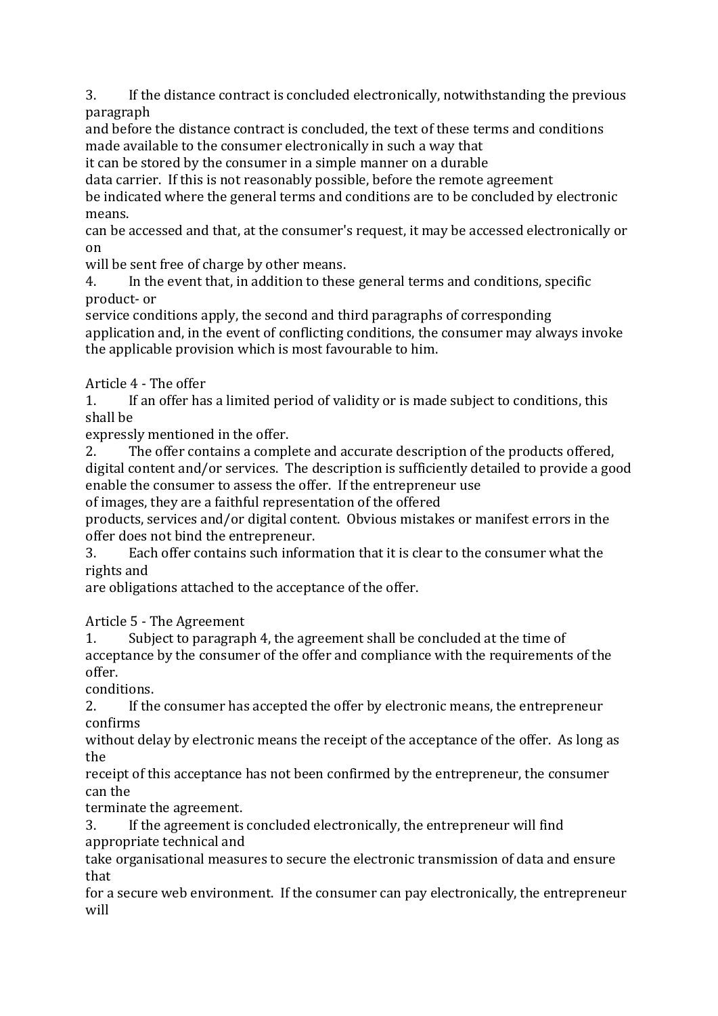3. If the distance contract is concluded electronically, notwithstanding the previous paragraph

and before the distance contract is concluded, the text of these terms and conditions made available to the consumer electronically in such a way that

it can be stored by the consumer in a simple manner on a durable

data carrier. If this is not reasonably possible, before the remote agreement

be indicated where the general terms and conditions are to be concluded by electronic means.

can be accessed and that, at the consumer's request, it may be accessed electronically or on

will be sent free of charge by other means.

4. In the event that, in addition to these general terms and conditions, specific product- or

service conditions apply, the second and third paragraphs of corresponding application and, in the event of conflicting conditions, the consumer may always invoke the applicable provision which is most favourable to him.

Article 4 - The offer

1. If an offer has a limited period of validity or is made subject to conditions, this shall be

expressly mentioned in the offer.

2. The offer contains a complete and accurate description of the products offered, digital content and/or services. The description is sufficiently detailed to provide a good enable the consumer to assess the offer. If the entrepreneur use

of images, they are a faithful representation of the offered

products, services and/or digital content. Obvious mistakes or manifest errors in the offer does not bind the entrepreneur.

3. Each offer contains such information that it is clear to the consumer what the rights and

are obligations attached to the acceptance of the offer.

Article 5 - The Agreement

1. Subject to paragraph 4, the agreement shall be concluded at the time of acceptance by the consumer of the offer and compliance with the requirements of the offer.

conditions.

2. If the consumer has accepted the offer by electronic means, the entrepreneur confirms

without delay by electronic means the receipt of the acceptance of the offer. As long as the

receipt of this acceptance has not been confirmed by the entrepreneur, the consumer can the

terminate the agreement.

3. If the agreement is concluded electronically, the entrepreneur will find appropriate technical and

take organisational measures to secure the electronic transmission of data and ensure that 

for a secure web environment. If the consumer can pay electronically, the entrepreneur will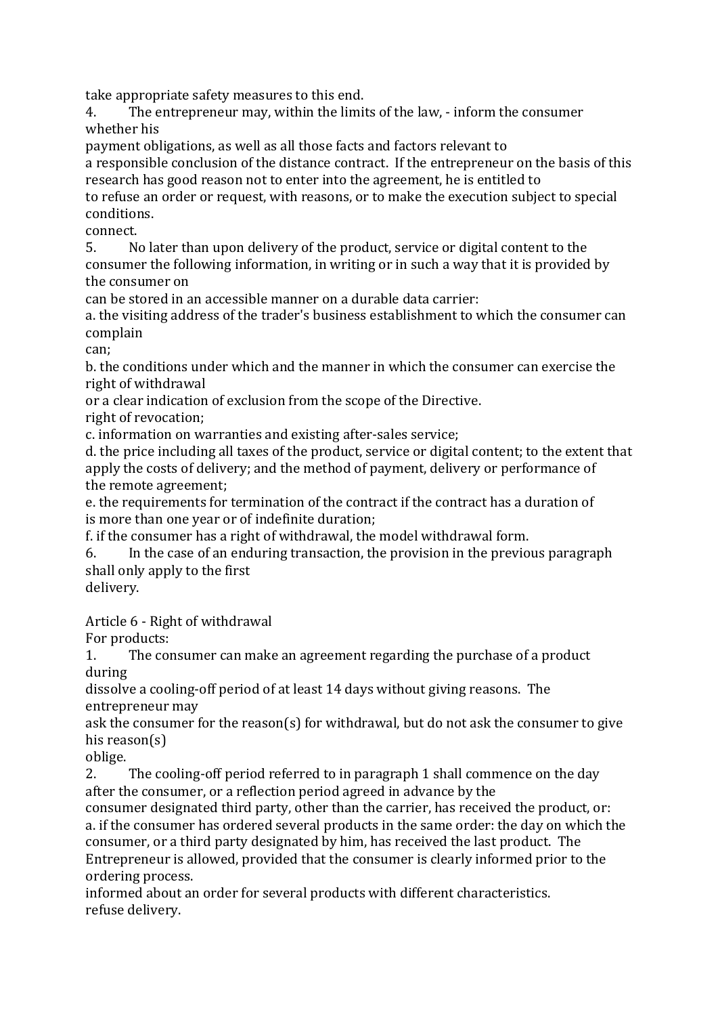take appropriate safety measures to this end.

4. The entrepreneur may, within the limits of the law, - inform the consumer whether his

payment obligations, as well as all those facts and factors relevant to

a responsible conclusion of the distance contract. If the entrepreneur on the basis of this research has good reason not to enter into the agreement, he is entitled to

to refuse an order or request, with reasons, or to make the execution subject to special conditions.

connect.

5. No later than upon delivery of the product, service or digital content to the consumer the following information, in writing or in such a way that it is provided by the consumer on

can be stored in an accessible manner on a durable data carrier:

a. the visiting address of the trader's business establishment to which the consumer can complain

can;

b. the conditions under which and the manner in which the consumer can exercise the right of withdrawal

or a clear indication of exclusion from the scope of the Directive.

right of revocation:

c. information on warranties and existing after-sales service;

d. the price including all taxes of the product, service or digital content; to the extent that apply the costs of delivery; and the method of payment, delivery or performance of the remote agreement;

e. the requirements for termination of the contract if the contract has a duration of is more than one year or of indefinite duration;

f. if the consumer has a right of withdrawal, the model withdrawal form.

6. In the case of an enduring transaction, the provision in the previous paragraph shall only apply to the first

delivery.

Article 6 - Right of withdrawal

For products:

1. The consumer can make an agreement regarding the purchase of a product during

dissolve a cooling-off period of at least 14 days without giving reasons. The entrepreneur may

ask the consumer for the reason(s) for withdrawal, but do not ask the consumer to give his reason $(s)$ 

oblige.

2. The cooling-off period referred to in paragraph 1 shall commence on the day after the consumer, or a reflection period agreed in advance by the

consumer designated third party, other than the carrier, has received the product, or: a. if the consumer has ordered several products in the same order: the day on which the consumer, or a third party designated by him, has received the last product. The Entrepreneur is allowed, provided that the consumer is clearly informed prior to the ordering process.

informed about an order for several products with different characteristics. refuse delivery.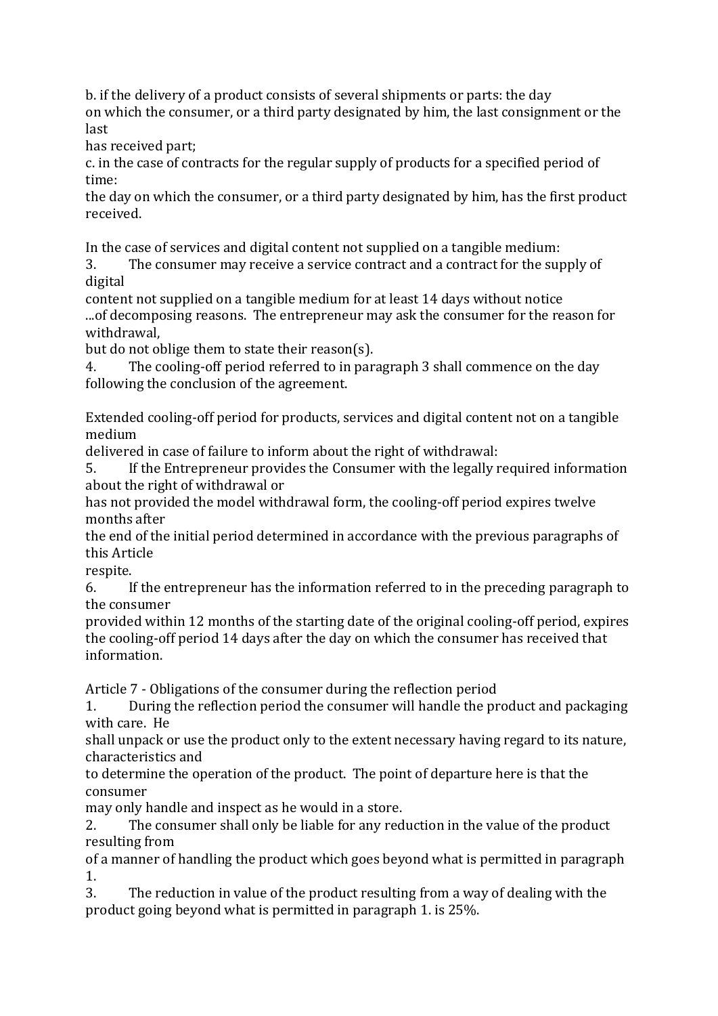b. if the delivery of a product consists of several shipments or parts: the day on which the consumer, or a third party designated by him, the last consignment or the last

has received part;

c. in the case of contracts for the regular supply of products for a specified period of time:

the day on which the consumer, or a third party designated by him, has the first product received.

In the case of services and digital content not supplied on a tangible medium:

3. The consumer may receive a service contract and a contract for the supply of digital

content not supplied on a tangible medium for at least 14 days without notice ...of decomposing reasons. The entrepreneur may ask the consumer for the reason for withdrawal,

but do not oblige them to state their reason(s).

4. The cooling-off period referred to in paragraph 3 shall commence on the day following the conclusion of the agreement.

Extended cooling-off period for products, services and digital content not on a tangible medium

delivered in case of failure to inform about the right of withdrawal:

5. If the Entrepreneur provides the Consumer with the legally required information about the right of withdrawal or

has not provided the model withdrawal form, the cooling-off period expires twelve months after

the end of the initial period determined in accordance with the previous paragraphs of this Article

respite. 

6. If the entrepreneur has the information referred to in the preceding paragraph to the consumer

provided within 12 months of the starting date of the original cooling-off period, expires the cooling-off period 14 days after the day on which the consumer has received that information.

Article 7 - Obligations of the consumer during the reflection period

1. During the reflection period the consumer will handle the product and packaging with care. He

shall unpack or use the product only to the extent necessary having regard to its nature, characteristics and

to determine the operation of the product. The point of departure here is that the consumer

may only handle and inspect as he would in a store.

2. The consumer shall only be liable for any reduction in the value of the product resulting from

of a manner of handling the product which goes beyond what is permitted in paragraph 1.

3. The reduction in value of the product resulting from a way of dealing with the product going beyond what is permitted in paragraph 1. is 25%.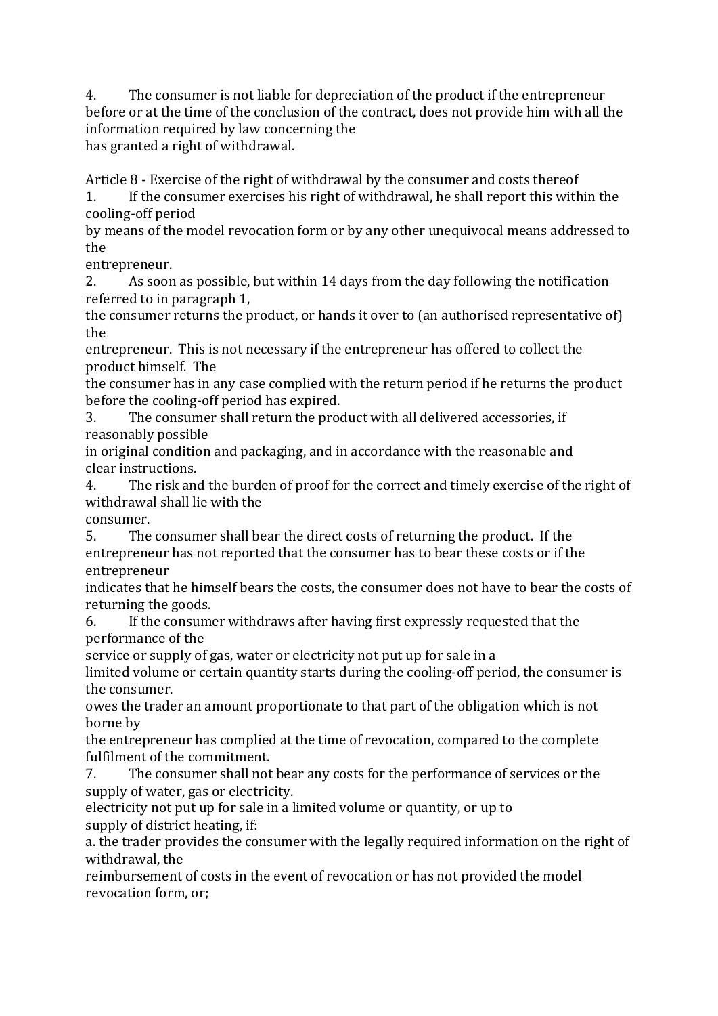4. The consumer is not liable for depreciation of the product if the entrepreneur before or at the time of the conclusion of the contract, does not provide him with all the information required by law concerning the has granted a right of withdrawal.

Article  $8$  - Exercise of the right of withdrawal by the consumer and costs thereof

1. If the consumer exercises his right of withdrawal, he shall report this within the cooling-off period

by means of the model revocation form or by any other unequivocal means addressed to the

entrepreneur.

2. As soon as possible, but within 14 days from the day following the notification referred to in paragraph 1.

the consumer returns the product, or hands it over to (an authorised representative of) the

entrepreneur. This is not necessary if the entrepreneur has offered to collect the product himself. The

the consumer has in any case complied with the return period if he returns the product before the cooling-off period has expired.

3. The consumer shall return the product with all delivered accessories, if reasonably possible

in original condition and packaging, and in accordance with the reasonable and clear instructions.

4. The risk and the burden of proof for the correct and timely exercise of the right of withdrawal shall lie with the

consumer.

5. The consumer shall bear the direct costs of returning the product. If the entrepreneur has not reported that the consumer has to bear these costs or if the entrepreneur

indicates that he himself bears the costs, the consumer does not have to bear the costs of returning the goods.

6. If the consumer withdraws after having first expressly requested that the performance of the

service or supply of gas, water or electricity not put up for sale in a

limited volume or certain quantity starts during the cooling-off period, the consumer is the consumer.

owes the trader an amount proportionate to that part of the obligation which is not borne by

the entrepreneur has complied at the time of revocation, compared to the complete fulfilment of the commitment.

7. The consumer shall not bear any costs for the performance of services or the supply of water, gas or electricity.

electricity not put up for sale in a limited volume or quantity, or up to supply of district heating, if:

a. the trader provides the consumer with the legally required information on the right of withdrawal, the

reimbursement of costs in the event of revocation or has not provided the model revocation form, or;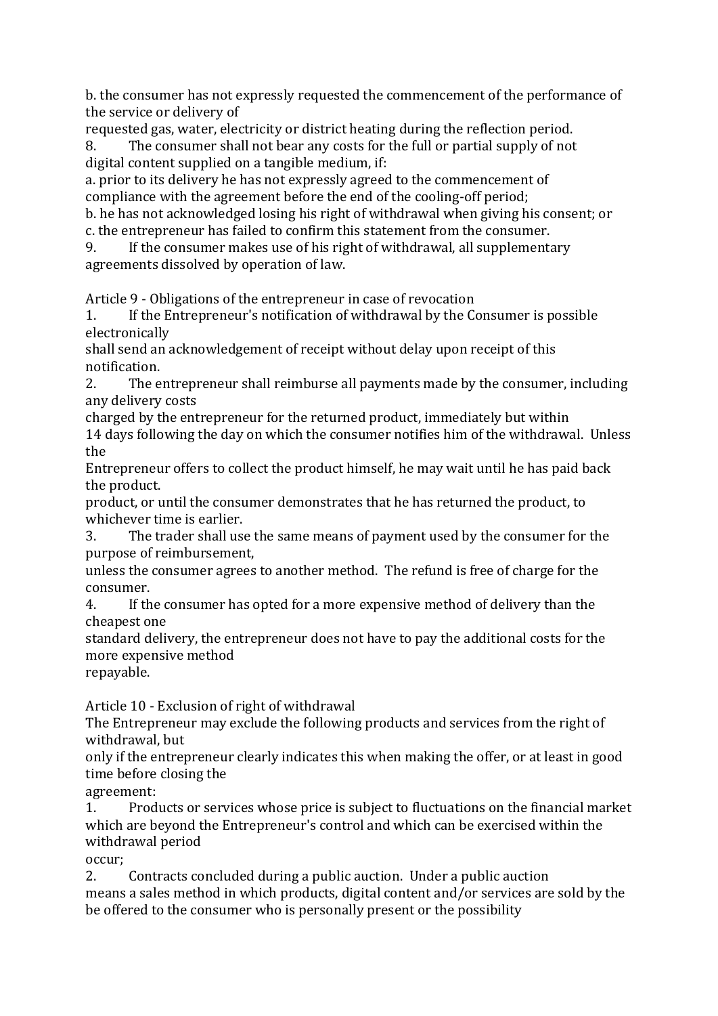b. the consumer has not expressly requested the commencement of the performance of the service or delivery of

requested gas, water, electricity or district heating during the reflection period. 8. The consumer shall not bear any costs for the full or partial supply of not

digital content supplied on a tangible medium, if:

a. prior to its delivery he has not expressly agreed to the commencement of compliance with the agreement before the end of the cooling-off period;

b. he has not acknowledged losing his right of withdrawal when giving his consent; or c. the entrepreneur has failed to confirm this statement from the consumer.

9. If the consumer makes use of his right of withdrawal, all supplementary agreements dissolved by operation of law.

Article 9 - Obligations of the entrepreneur in case of revocation

1. If the Entrepreneur's notification of withdrawal by the Consumer is possible electronically

shall send an acknowledgement of receipt without delay upon receipt of this notification. 

2. The entrepreneur shall reimburse all payments made by the consumer, including any delivery costs

charged by the entrepreneur for the returned product, immediately but within 14 days following the day on which the consumer notifies him of the withdrawal. Unless the

Entrepreneur offers to collect the product himself, he may wait until he has paid back the product.

product, or until the consumer demonstrates that he has returned the product, to whichever time is earlier.

3. The trader shall use the same means of payment used by the consumer for the purpose of reimbursement,

unless the consumer agrees to another method. The refund is free of charge for the consumer.

4. If the consumer has opted for a more expensive method of delivery than the cheapest one

standard delivery, the entrepreneur does not have to pay the additional costs for the more expensive method

repayable.

Article 10 - Exclusion of right of withdrawal

The Entrepreneur may exclude the following products and services from the right of withdrawal, but

only if the entrepreneur clearly indicates this when making the offer, or at least in good time before closing the

agreement:

1. Products or services whose price is subject to fluctuations on the financial market which are beyond the Entrepreneur's control and which can be exercised within the withdrawal period

occur;

2. Contracts concluded during a public auction. Under a public auction means a sales method in which products, digital content and/or services are sold by the be offered to the consumer who is personally present or the possibility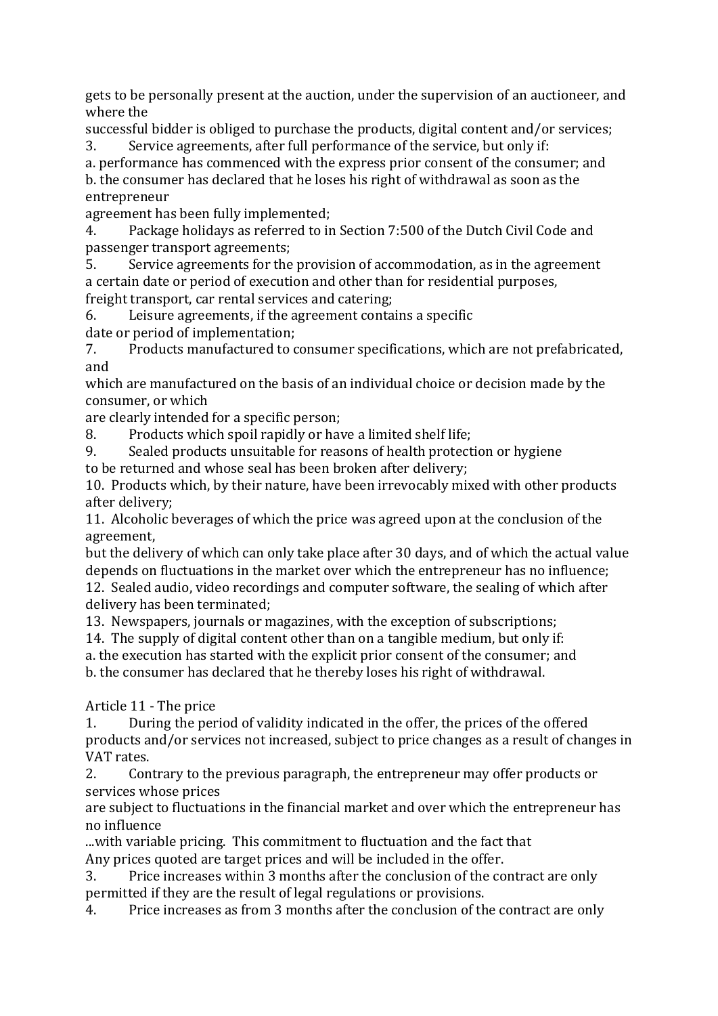gets to be personally present at the auction, under the supervision of an auctioneer, and where the

successful bidder is obliged to purchase the products, digital content and/or services; 3. Service agreements, after full performance of the service, but only if:

a. performance has commenced with the express prior consent of the consumer; and b. the consumer has declared that he loses his right of withdrawal as soon as the entrepreneur

agreement has been fully implemented;

4. Package holidays as referred to in Section 7:500 of the Dutch Civil Code and passenger transport agreements;

5. Service agreements for the provision of accommodation, as in the agreement a certain date or period of execution and other than for residential purposes, freight transport, car rental services and catering;

6. Leisure agreements, if the agreement contains a specific

date or period of implementation;

7. Products manufactured to consumer specifications, which are not prefabricated, and

which are manufactured on the basis of an individual choice or decision made by the consumer, or which

are clearly intended for a specific person;

8. Products which spoil rapidly or have a limited shelf life;

9. Sealed products unsuitable for reasons of health protection or hygiene

to be returned and whose seal has been broken after delivery;

10. Products which, by their nature, have been irrevocably mixed with other products after delivery:

11. Alcoholic beverages of which the price was agreed upon at the conclusion of the agreement,

but the delivery of which can only take place after 30 days, and of which the actual value depends on fluctuations in the market over which the entrepreneur has no influence; 12. Sealed audio, video recordings and computer software, the sealing of which after delivery has been terminated;

13. Newspapers, journals or magazines, with the exception of subscriptions;

14. The supply of digital content other than on a tangible medium, but only if:

a. the execution has started with the explicit prior consent of the consumer; and

b. the consumer has declared that he thereby loses his right of withdrawal.

Article 11 - The price

1. During the period of validity indicated in the offer, the prices of the offered products and/or services not increased, subject to price changes as a result of changes in VAT rates.

2. Contrary to the previous paragraph, the entrepreneur may offer products or services whose prices

are subject to fluctuations in the financial market and over which the entrepreneur has no influence

...with variable pricing. This commitment to fluctuation and the fact that Any prices quoted are target prices and will be included in the offer.

3. Price increases within 3 months after the conclusion of the contract are only permitted if they are the result of legal regulations or provisions.

4. Price increases as from 3 months after the conclusion of the contract are only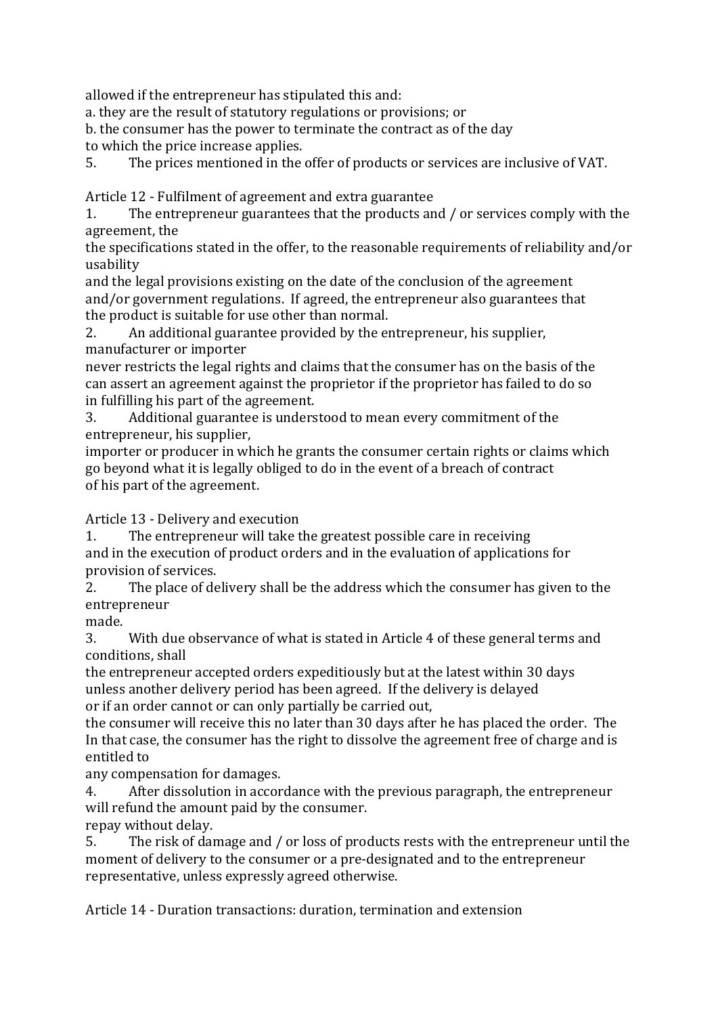allowed if the entrepreneur has stipulated this and:

a. they are the result of statutory regulations or provisions; or

b. the consumer has the power to terminate the contract as of the day

to which the price increase applies.

5. The prices mentioned in the offer of products or services are inclusive of VAT.

Article 12 - Fulfilment of agreement and extra guarantee

1. The entrepreneur guarantees that the products and / or services comply with the agreement, the

the specifications stated in the offer, to the reasonable requirements of reliability and/or usability

and the legal provisions existing on the date of the conclusion of the agreement and/or government regulations. If agreed, the entrepreneur also guarantees that the product is suitable for use other than normal.

2. An additional guarantee provided by the entrepreneur, his supplier, manufacturer or importer

never restricts the legal rights and claims that the consumer has on the basis of the can assert an agreement against the proprietor if the proprietor has failed to do so in fulfilling his part of the agreement.

3. Additional guarantee is understood to mean every commitment of the entrepreneur, his supplier,

importer or producer in which he grants the consumer certain rights or claims which go beyond what it is legally obliged to do in the event of a breach of contract of his part of the agreement.

Article 13 - Delivery and execution

1. The entrepreneur will take the greatest possible care in receiving and in the execution of product orders and in the evaluation of applications for provision of services.

2. The place of delivery shall be the address which the consumer has given to the entrepreneur

made.

3. With due observance of what is stated in Article 4 of these general terms and conditions, shall

the entrepreneur accepted orders expeditiously but at the latest within 30 days unless another delivery period has been agreed. If the delivery is delayed or if an order cannot or can only partially be carried out,

the consumer will receive this no later than 30 days after he has placed the order. The In that case, the consumer has the right to dissolve the agreement free of charge and is entitled to

any compensation for damages.

4. After dissolution in accordance with the previous paragraph, the entrepreneur will refund the amount paid by the consumer.

repay without delay.

5. The risk of damage and / or loss of products rests with the entrepreneur until the moment of delivery to the consumer or a pre-designated and to the entrepreneur representative, unless expressly agreed otherwise.

Article 14 - Duration transactions: duration, termination and extension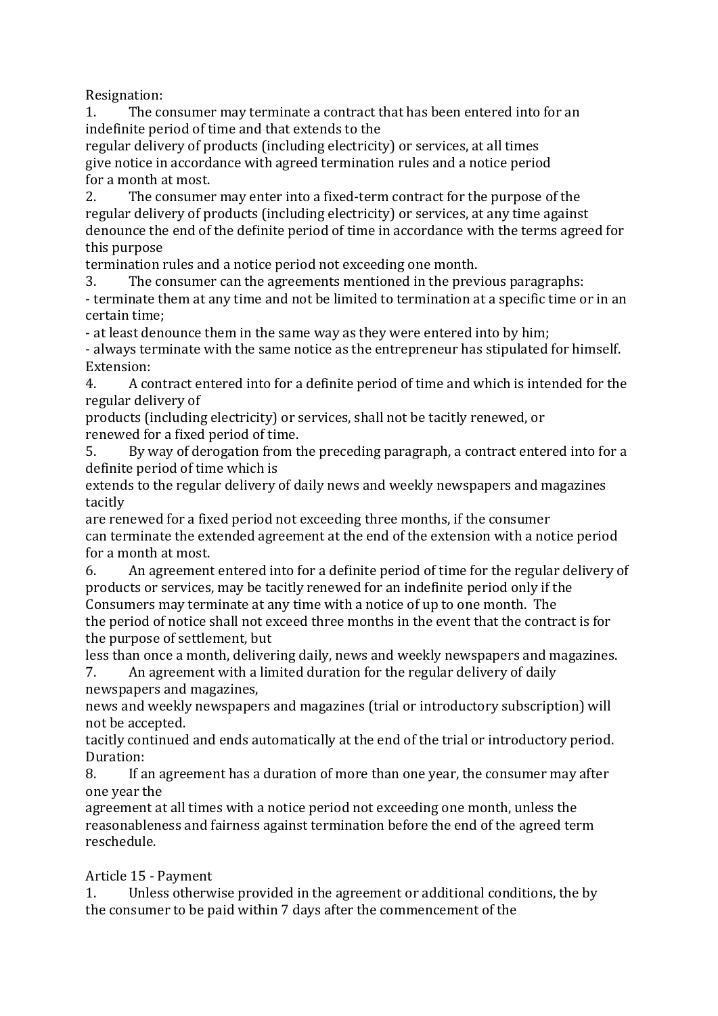Resignation:

1. The consumer may terminate a contract that has been entered into for an indefinite period of time and that extends to the

regular delivery of products (including electricity) or services, at all times give notice in accordance with agreed termination rules and a notice period for a month at most.

2. The consumer may enter into a fixed-term contract for the purpose of the regular delivery of products (including electricity) or services, at any time against denounce the end of the definite period of time in accordance with the terms agreed for this purpose

termination rules and a notice period not exceeding one month.

3. The consumer can the agreements mentioned in the previous paragraphs: - terminate them at any time and not be limited to termination at a specific time or in an certain time:

- at least denounce them in the same way as they were entered into by him;

- always terminate with the same notice as the entrepreneur has stipulated for himself. Extension:

4. A contract entered into for a definite period of time and which is intended for the regular delivery of

products (including electricity) or services, shall not be tacitly renewed, or renewed for a fixed period of time.

5. By way of derogation from the preceding paragraph, a contract entered into for a definite period of time which is

extends to the regular delivery of daily news and weekly newspapers and magazines tacitly

are renewed for a fixed period not exceeding three months, if the consumer can terminate the extended agreement at the end of the extension with a notice period for a month at most.

6. An agreement entered into for a definite period of time for the regular delivery of products or services, may be tacitly renewed for an indefinite period only if the Consumers may terminate at any time with a notice of up to one month. The the period of notice shall not exceed three months in the event that the contract is for

the purpose of settlement, but

less than once a month, delivering daily, news and weekly newspapers and magazines. 7. An agreement with a limited duration for the regular delivery of daily

newspapers and magazines,

news and weekly newspapers and magazines (trial or introductory subscription) will not be accepted.

tacitly continued and ends automatically at the end of the trial or introductory period. Duration:

8. If an agreement has a duration of more than one year, the consumer may after one year the

agreement at all times with a notice period not exceeding one month, unless the reasonableness and fairness against termination before the end of the agreed term reschedule.

## Article 15 - Payment

1. Unless otherwise provided in the agreement or additional conditions, the by the consumer to be paid within 7 days after the commencement of the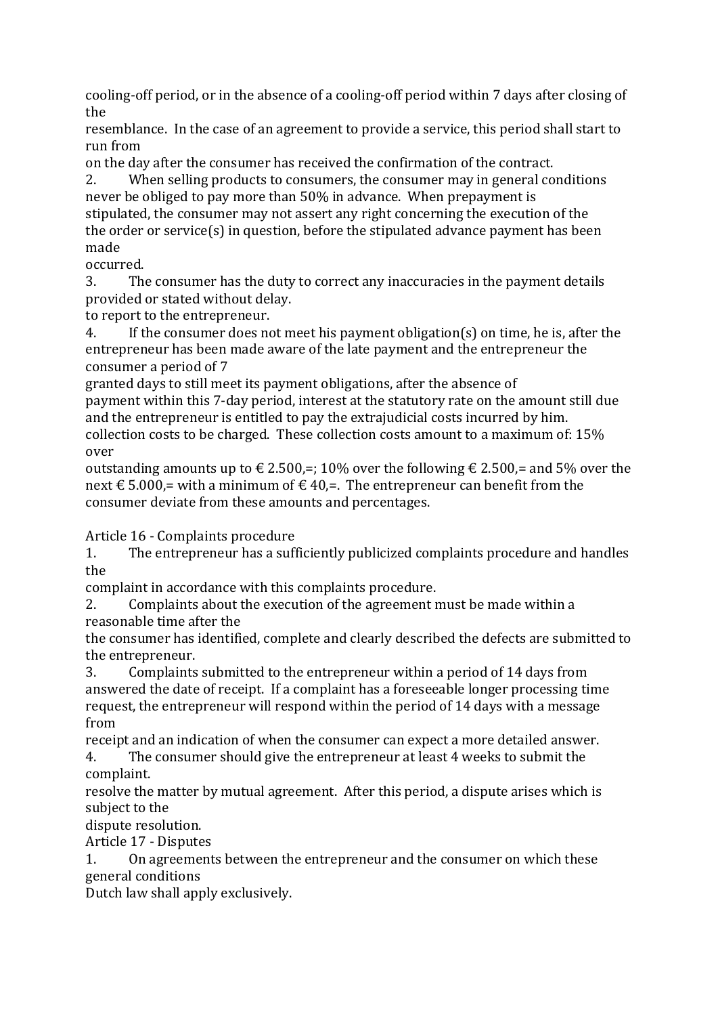cooling-off period, or in the absence of a cooling-off period within 7 days after closing of the

resemblance. In the case of an agreement to provide a service, this period shall start to run from

on the day after the consumer has received the confirmation of the contract.

2. When selling products to consumers, the consumer may in general conditions never be obliged to pay more than 50% in advance. When prepayment is stipulated, the consumer may not assert any right concerning the execution of the the order or service(s) in question, before the stipulated advance payment has been made

occurred.

3. The consumer has the duty to correct any inaccuracies in the payment details provided or stated without delay.

to report to the entrepreneur.

4. If the consumer does not meet his payment obligation(s) on time, he is, after the entrepreneur has been made aware of the late payment and the entrepreneur the consumer a period of 7

granted days to still meet its payment obligations, after the absence of payment within this 7-day period, interest at the statutory rate on the amount still due and the entrepreneur is entitled to pay the extrajudicial costs incurred by him. collection costs to be charged. These collection costs amount to a maximum of:  $15%$ over

outstanding amounts up to  $\epsilon$  2.500,=; 10% over the following  $\epsilon$  2.500,= and 5% over the next € 5.000,= with a minimum of € 40,=. The entrepreneur can benefit from the consumer deviate from these amounts and percentages.

Article 16 - Complaints procedure

1. The entrepreneur has a sufficiently publicized complaints procedure and handles the

complaint in accordance with this complaints procedure.

2. Complaints about the execution of the agreement must be made within a reasonable time after the

the consumer has identified, complete and clearly described the defects are submitted to the entrepreneur.

3. Complaints submitted to the entrepreneur within a period of 14 days from answered the date of receipt. If a complaint has a foreseeable longer processing time request, the entrepreneur will respond within the period of 14 days with a message from

receipt and an indication of when the consumer can expect a more detailed answer. 4. The consumer should give the entrepreneur at least 4 weeks to submit the

complaint.

resolve the matter by mutual agreement. After this period, a dispute arises which is subject to the

dispute resolution.

Article 17 - Disputes

1. On agreements between the entrepreneur and the consumer on which these general conditions

Dutch law shall apply exclusively.